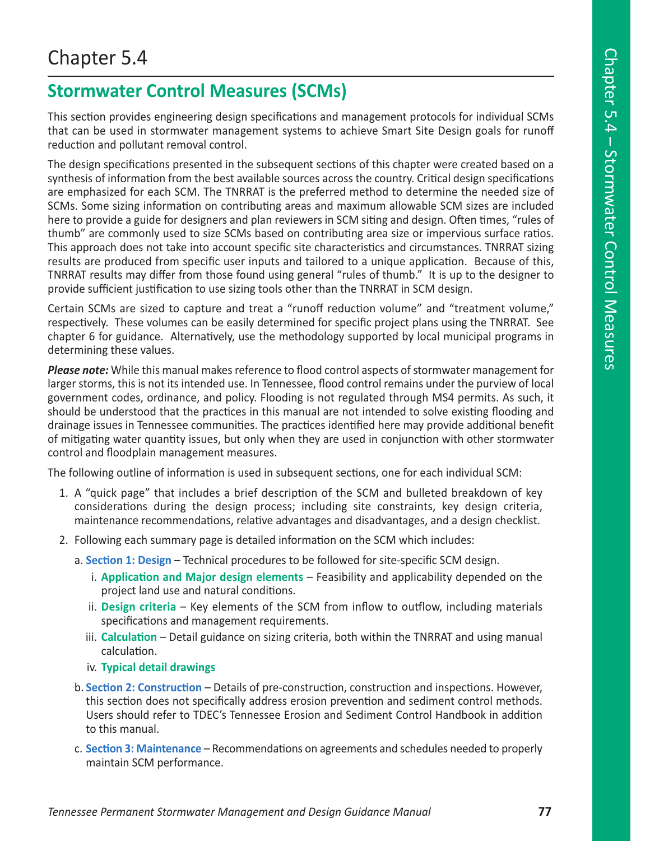## Chapter 5.4

## **Stormwater Control Measures (SCMs)**

This section provides engineering design specifications and management protocols for individual SCMs that can be used in stormwater management systems to achieve Smart Site Design goals for runoff reduction and pollutant removal control.

The design specifications presented in the subsequent sections of this chapter were created based on a synthesis of information from the best available sources across the country. Critical design specifications are emphasized for each SCM. The TNRRAT is the preferred method to determine the needed size of SCMs. Some sizing information on contributing areas and maximum allowable SCM sizes are included here to provide a guide for designers and plan reviewers in SCM siting and design. Often times, "rules of thumb" are commonly used to size SCMs based on contributing area size or impervious surface ratios. This approach does not take into account specific site characteristics and circumstances. TNRRAT sizing results are produced from specific user inputs and tailored to a unique application. Because of this, TNRRAT results may differ from those found using general "rules of thumb." It is up to the designer to provide sufficient justification to use sizing tools other than the TNRRAT in SCM design.

Certain SCMs are sized to capture and treat a "runoff reduction volume" and "treatment volume," respectively. These volumes can be easily determined for specific project plans using the TNRRAT. See chapter 6 for guidance. Alternatively, use the methodology supported by local municipal programs in determining these values.

**Please note:** While this manual makes reference to flood control aspects of stormwater management for larger storms, this is not its intended use. In Tennessee, flood control remains under the purview of local government codes, ordinance, and policy. Flooding is not regulated through MS4 permits. As such, it should be understood that the practices in this manual are not intended to solve existing flooding and drainage issues in Tennessee communities. The practices identified here may provide additional benefit of mitigating water quantity issues, but only when they are used in conjunction with other stormwater control and floodplain management measures.

The following outline of information is used in subsequent sections, one for each individual SCM:

- 1. A "quick page" that includes a brief description of the SCM and bulleted breakdown of key considerations during the design process; including site constraints, key design criteria, maintenance recommendations, relative advantages and disadvantages, and a design checklist.
- 2. Following each summary page is detailed information on the SCM which includes:
	- a. **Section 1: Design** Technical procedures to be followed for site-specific SCM design.
		- i. **Application and Major design elements** Feasibility and applicability depended on the project land use and natural conditions.
		- ii. **Design criteria** Key elements of the SCM from inflow to outflow, including materials specifications and management requirements.
		- iii. **Calculation** Detail guidance on sizing criteria, both within the TNRRAT and using manual calculation.
		- iv. **Typical detail drawings**
	- b. **Section 2: Construction** Details of pre-construction, construction and inspections. However, this section does not specifically address erosion prevention and sediment control methods. Users should refer to TDEC's Tennessee Erosion and Sediment Control Handbook in addition to this manual.
	- c. **Section 3: Maintenance** Recommendations on agreements and schedules needed to properly maintain SCM performance.